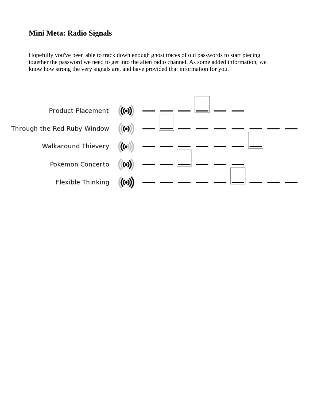## **Mini Meta: Radio Signals**

Hopefully you've been able to track down enough ghost traces of old passwords to start piecing together the password we need to get into the alien radio channel. As some added information, we know how strong the very signals are, and have provided that information for you.

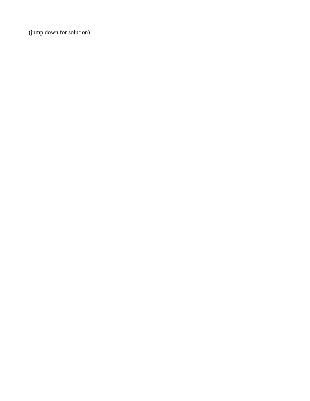(jump down for solution)